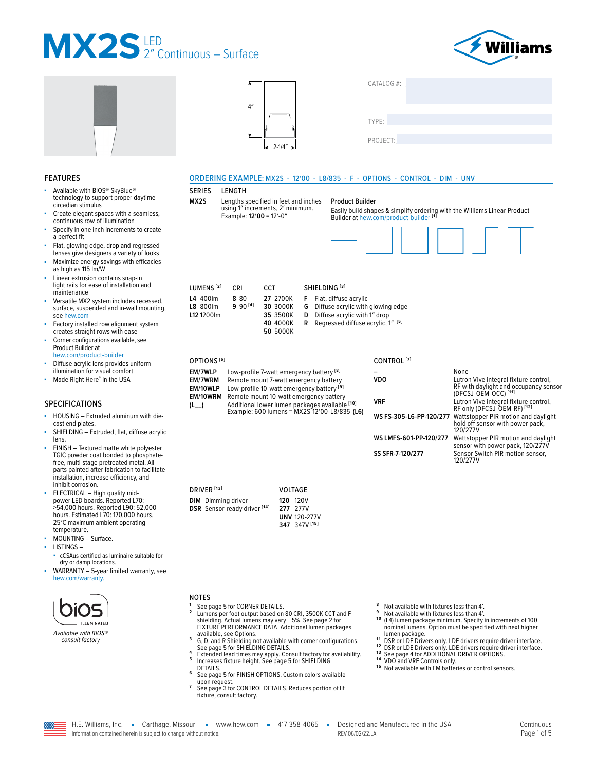





| CATALOG #: |  |  |  |
|------------|--|--|--|
|            |  |  |  |
|            |  |  |  |
| TYPE:      |  |  |  |
|            |  |  |  |
| PROJECT:   |  |  |  |
|            |  |  |  |

#### FEATURES

- Available with BIOS<sup>®</sup> SkyBlue<sup>®</sup> technology to support proper daytime circadian stimulus
- Create elegant spaces with a seamless, continuous row of illumination
- Specify in one inch increments to create a perfect fit
- Flat, glowing edge, drop and regressed lenses give designers a variety of looks
- Maximize energy savings with efficacies as high as 115 lm/W
- Linear extrusion contains snap-in light rails for ease of installation and maintenance
- Versatile MX2 system includes recessed, surface, suspended and in-wall mounting, see [hew.com](https://www.hew.com/search?q=mx2)
- Factory installed row alignment system creates straight rows with ease Corner configurations available, see
- Product Builder at [hew.com/product-builder](https://ws1.hew.com/config?series=mx2)
- Diffuse acrylic lens provides uniform illumination for visual comfort
- Made Right Here® in the USA

#### SPECIFICATIONS

- HOUSING Extruded aluminum with diecast end plates.
- SHIELDING Extruded, flat, diffuse acrylic lens.
- FINISH Textured matte white polyester TGIC powder coat bonded to phosphatefree, multi-stage pretreated metal. All parts painted after fabrication to facilitate installation, increase efficiency, and inhibit corrosion.
- ELECTRICAL High quality midpower LED boards. Reported L70: >54,000 hours. Reported L90: 52,000 hours. Estimated L70: 170,000 hours. 25°C maximum ambient operating temperature.
- MOUNTING Surface.
- LISTINGS –
- cCSAus certified as luminaire suitable for dry or damp locations.
- WARRANTY 5-year limited warranty, see [hew.com/warranty.](https://www.hew.com/resources/warranty-and-terms)



*consult factory*

#### ORDERING EXAMPLE: MX2S - 12′00 - L8/835 - F - OPTIONS - CONTROL - DIM - UNV

#### SERIES LENGTH

**MX2S** Lengths specified in feet and inches using 1″ increments, 2′ minimum. Example: **12′00** = 12′-0″

**Product Builder** Easily build shapes & simplify ordering with the Williams Linear Product Builder at [hew.com/product-builder](https://ws1.hew.com/config?series=mx2) **[1]**



| LUMENS <sup>[2]</sup> | CRI         | <b>CCT</b> | SHIELDING <sup>[3]</sup>                                 |
|-----------------------|-------------|------------|----------------------------------------------------------|
| L4 400lm              | 880         |            | 27 2700K F Flat, diffuse acrylic                         |
| <b>L8 800lm</b>       | $990^{[4]}$ | 30 3000K   | <b>G</b> Diffuse acrylic with glowing edge               |
| L12 1200 lm           |             | 35 3500K   | <b>D</b> Diffuse acrylic with 1" drop                    |
|                       |             | 40 4000K   | <b>R</b> Regressed diffuse acrylic, $1''$ <sup>[5]</sup> |
|                       |             | 50 5000K   |                                                          |

| OPTIONS <sup>[6]</sup>                                       |                                                                                                                                                                                                                                                                                         | CONTROL <sup>[7]</sup> |                                                                                                                                                                                                                                                                                                                             |
|--------------------------------------------------------------|-----------------------------------------------------------------------------------------------------------------------------------------------------------------------------------------------------------------------------------------------------------------------------------------|------------------------|-----------------------------------------------------------------------------------------------------------------------------------------------------------------------------------------------------------------------------------------------------------------------------------------------------------------------------|
| EM/7WLP<br><b>EM/7WRM</b><br>EM/10WLP<br>EM/10WRM<br>$(L_+)$ | Low-profile 7-watt emergency battery <sup>[8]</sup><br>Remote mount 7-watt emergency battery<br>Low-profile 10-watt emergency battery [9]<br>Remote mount 10-watt emergency battery<br>Additional lower lumen packages available [10]<br>Example: 600 lumens = $MX25-12'00-18/835-(L6)$ | VDO<br><b>VRF</b>      | None<br>Lutron Vive integral fixture control,<br>RF with daylight and occupancy sensor<br>(DFCSJ-OEM-OCC) <sup>[11]</sup><br>Lutron Vive integral fixture control,<br>RF only (DFCSJ-OEM-RF) <sup>[12]</sup><br>WS FS-305-L6-PP-120/277 Wattstopper PIR motion and daylight<br>hold off sensor with power pack,<br>120/277V |

#### **WS LMFS-601-PP-120/277** Wattstopper PIR motion and daylight sensor with power pack, 120/277V **SS SFR-7-120/277** Sensor Switch PIR motion sensor, 120/277V

| <b>120 120V</b><br><b>DIM</b> Dimming driver<br>DSR Sensor-ready driver <sup>[14]</sup><br>277 277V<br><b>UNV 120-277V</b><br>347 347V [15] | DRIVER <sup>[13]</sup> |  | VOLTAGE |
|---------------------------------------------------------------------------------------------------------------------------------------------|------------------------|--|---------|
|                                                                                                                                             |                        |  |         |

- NOTES<br><sup>1</sup> See page 5 for CORNER DETAILS.
- **<sup>1</sup>** [See page 5 for CORNER DETAILS.](#page-4-0) **<sup>2</sup>** Lumens per foot output based on 80 CRI, 3500K CCT and F shielding. Actual lumens may vary ± 5%. [See page 2 for](#page-1-0)  [FIXTURE PERFORMANCE DATA.](#page-1-0) Additional lumen packages
- available, see Options.<br> **3** G, D, and R Shielding not available with corner configurations.<br>
See page 5 for SHIELDING DETAILS.
- **4** Extended lead times may apply. Consult factory for availability.<br> **5** Increases fixture height. See page 5 for SHIELDING<br> **DETAILS.**
- [DETAILS.](#page-4-1) **<sup>6</sup>** [See page 5 for FINISH OPTIONS.](#page-4-2) Custom colors available
- upon request. **<sup>7</sup>** [See page 3 for CONTROL DETAILS.](#page-2-0) Reduces portion of lit fixture, consult factory.
- 
- 
- **8** Not available with fixtures less than 4'.<br>**9 Not available with fixtures less than 4'.**<br>10 (L4) lumen package minimum. Specify in increments of 100<br>10 nominal lumens. Option must be specified with next higher
- 
- 11 DSR or LDE Drivers only. LDE drivers require driver interface.<br>12 DSR or LDE Drivers only. LDE drivers require driver interface.<br>13 DSR or LDE Drivers only. LDE drivers require driver interface.<br>13 See page 4 for ADDITI
- 
- 

H.E. Williams, Inc. • Carthage, Missouri • www.hew.com • 417-358-4065 • Designed and Manufactured in the USA Information contained herein is subject to change without notice. REV.06/02/22.LA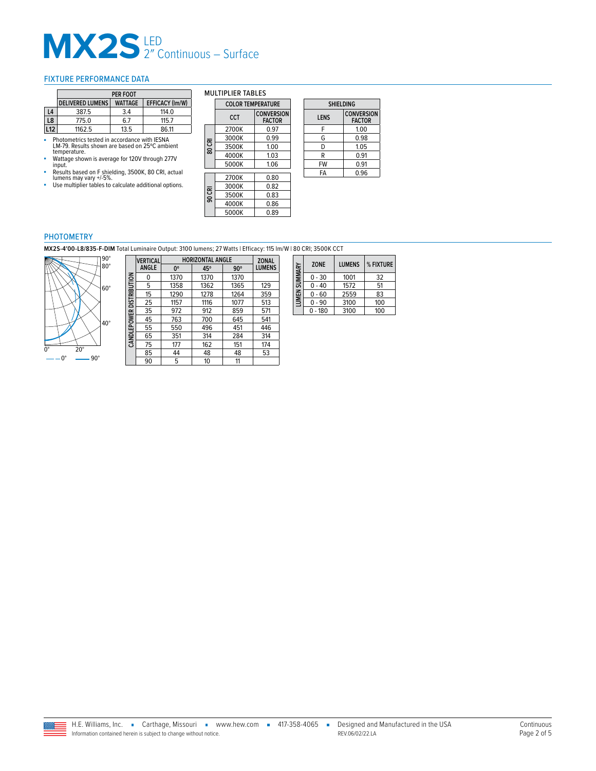#### <span id="page-1-0"></span>FIXTURE PERFORMANCE DATA

|    | PER FOOT                |                |                        |
|----|-------------------------|----------------|------------------------|
|    | <b>DELIVERED LUMENS</b> | <b>WATTAGE</b> | <b>EFFICACY (Im/W)</b> |
| L4 | 387.5                   | 3.4            | 114.0                  |
| L8 | 775.0                   | 6.7            | 115.7                  |
| 12 | 1162.5                  | 13.5           | 86.11                  |

- Photometrics tested in accordance with IESNA LM-79. Results shown are based on 25ºC ambient temperature.
- Wattage shown is average for 120V through 277V input.
- Results based on F shielding, 3500K, 80 CRI, actual<br>Iumens may vary +/-5%.<br>■ Use multiplier tables to calculate additional options.

**CANDLEPOWER DISTRIBUTION**

CANDLEPOWER DISTRIBUTION

|        | CCT   | <b>CONVERSION</b><br><b>FACTOR</b> |
|--------|-------|------------------------------------|
|        | 2700K | 0.97                               |
|        | 3000K | 0.99                               |
| 80 CRI | 3500K | 1.00                               |
|        | 4000K | 1.03                               |
|        | 5000K | 1.06                               |
|        | 2700K | 0.80                               |
|        | 3000K | 0.82                               |
| 90 CRI | 3500K | 0.83                               |
|        | 4000K | 0.86                               |
|        | 5000K | 0.89                               |

**COLOR TEMPERATURE**

MULTIPLIER TABLES

| <b>SHIELDING</b> |                                    |  |
|------------------|------------------------------------|--|
| <b>LENS</b>      | <b>CONVERSION</b><br><b>FACTOR</b> |  |
| F                | 1.00                               |  |
| G                | 0.98                               |  |
| D                | 1.05                               |  |
| R                | 0.91                               |  |
| FW               | 0.91                               |  |
| FΑ               | 0.96                               |  |
|                  |                                    |  |

### PHOTOMETRY

**MX2S-4′00-L8/835-F-DIM** Total Luminaire Output: 3100 lumens; 27 Watts | Efficacy: 115 lm/W | 80 CRI; 3500K CCT



| VERTICAL     | <b>HORIZONTAL ANGLE</b> | <b>ZONAL</b> |            |               |
|--------------|-------------------------|--------------|------------|---------------|
| <b>ANGLE</b> | 0°                      | 45°          | $90^\circ$ | <b>LUMENS</b> |
| 0            | 1370                    | 1370         | 1370       |               |
| 5            | 1358                    | 1362         | 1365       | 129           |
| 15           | 1290                    | 1278         | 1264       | 359           |
| 25           | 1157                    | 1116         | 1077       | 513           |
| 35           | 972                     | 912          | 859        | 571           |
| 45           | 763                     | 700          | 645        | 541           |
| 55           | 550                     | 496          | 451        | 446           |
| 65           | 351                     | 314          | 284        | 314           |
| 75           | 177                     | 162          | 151        | 174           |
| 85           | 44                      | 48           | 48         | 53            |
| 90           | 5                       | 10           | 11         |               |

| LUMEN SUMMARY | <b>ZONE</b> | <b>IUMENS</b> | % FIXTURE |
|---------------|-------------|---------------|-----------|
|               | $0 - 30$    | 1001          | 32        |
|               | ი - 40      | 1572          | 51        |
|               | $0 - 60$    | 2559          | 83        |
|               | $0 - 90$    | 3100          | 100       |
|               | $0 - 180$   | 3100          | 100       |

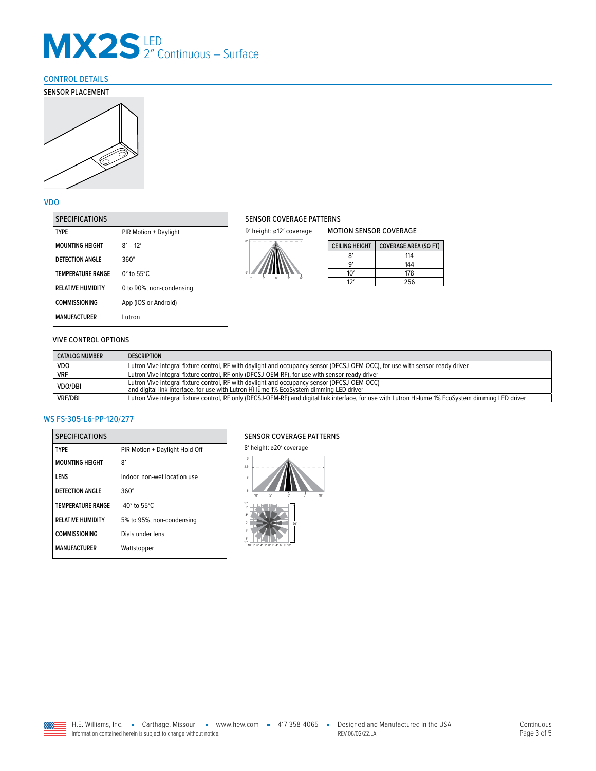### <span id="page-2-0"></span>CONTROL DETAILS





#### VDO

| <b>SPECIFICATIONS</b>    |                          |
|--------------------------|--------------------------|
| TYPF                     | PIR Motion + Daylight    |
| <b>MOUNTING HEIGHT</b>   | $8' - 12'$               |
| <b>DETECTION ANGLE</b>   | 360°                     |
| <b>TEMPERATURE RANGE</b> | $0^\circ$ to 55°C.       |
| <b>RELATIVE HUMIDITY</b> | 0 to 90%, non-condensing |
| <b>COMMISSIONING</b>     | App (iOS or Android)     |
| <b>MANUFACTURER</b>      | Lutron                   |
|                          |                          |

#### SENSOR COVERAGE PATTERNS

9' height: ø12' coverage



| <b>CEILING HEIGHT</b> | <b>COVERAGE AREA (SQ FT)</b> |
|-----------------------|------------------------------|
|                       | 114                          |
|                       | 144                          |
| 10'                   | 178                          |
|                       | 256                          |

MOTION SENSOR COVERAGE

#### VIVE CONTROL OPTIONS

| <b>CATALOG NUMBER</b> | <b>DESCRIPTION</b>                                                                                                                                                                     |
|-----------------------|----------------------------------------------------------------------------------------------------------------------------------------------------------------------------------------|
| <b>VDO</b>            | Lutron Vive integral fixture control, RF with daylight and occupancy sensor (DFCSJ-OEM-OCC), for use with sensor-ready driver                                                          |
| <b>VRF</b>            | Lutron Vive integral fixture control, RF only (DFCSJ-OEM-RF), for use with sensor-ready driver                                                                                         |
| <b>VDO/DBI</b>        | Lutron Vive integral fixture control, RF with daylight and occupancy sensor (DFCSJ-OEM-OCC)<br>and digital link interface, for use with Lutron Hi-lume 1% EcoSystem dimming LED driver |
| <b>VRF/DBI</b>        | Lutron Vive integral fixture control, RF only (DFCSJ-OEM-RF) and digital link interface, for use with Lutron Hi-lume 1% EcoSystem dimming LED driver                                   |

#### WS FS-305-L6-PP-120/277

| <b>SPECIFICATIONS</b>    |                                |
|--------------------------|--------------------------------|
| <b>TYPF</b>              | PIR Motion + Daylight Hold Off |
| <b>MOUNTING HEIGHT</b>   | 8'                             |
| LENS                     | Indoor, non-wet location use   |
| <b>DETECTION ANGLE</b>   | $360^\circ$                    |
| <b>TEMPERATURE RANGE</b> | $-40^\circ$ to 55°C.           |
| <b>RELATIVE HUMIDITY</b> | 5% to 95%, non-condensing      |
| <b>COMMISSIONING</b>     | Dials under lens               |
| <b>MANUFACTURER</b>      | Wattstopper                    |

#### SENSOR COVERAGE PATTERNS

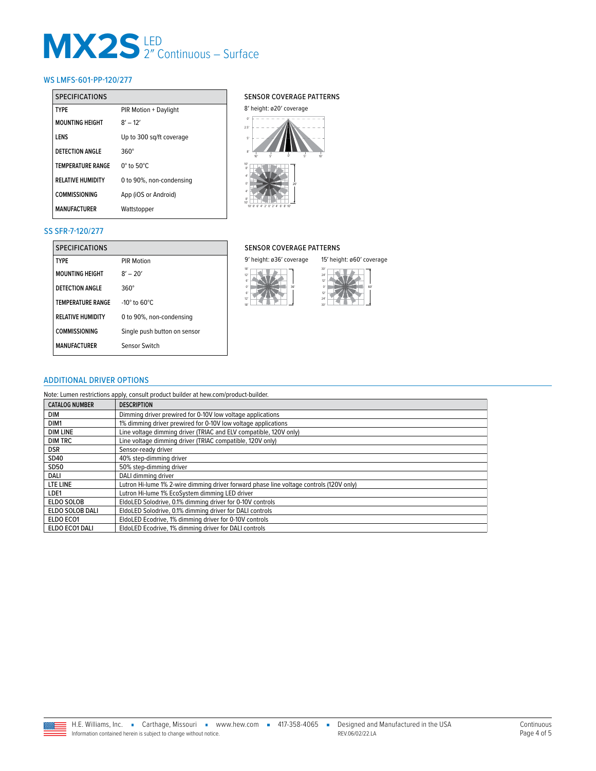#### WS LMFS-601-PP-120/277

| <b>SPECIFICATIONS</b>    |                           |  |  |
|--------------------------|---------------------------|--|--|
| <b>TYPF</b>              | PIR Motion + Daylight     |  |  |
| <b>MOUNTING HEIGHT</b>   | $8' - 12'$                |  |  |
| <b>IFNS</b>              | Up to 300 sg/ft coverage  |  |  |
| DETECTION ANGLE          | 360°                      |  |  |
| <b>TEMPERATURE RANGE</b> | $0^\circ$ to $50^\circ C$ |  |  |
| <b>RELATIVE HUMIDITY</b> | 0 to 90%, non-condensing  |  |  |
| <b>COMMISSIONING</b>     | App (iOS or Android)      |  |  |
| <b>MANUFACTURFR</b>      | Wattstopper               |  |  |

#### SENSOR COVERAGE PATTERNS



#### SS SFR-7-120/277

| <b>SPECIFICATIONS</b>    |                               | <b>SENSOR COVERAGE PATTERNS</b> |                           |  |
|--------------------------|-------------------------------|---------------------------------|---------------------------|--|
| <b>TYPE</b>              | PIR Motion                    | 9' height: ø36' coverage        | 15' height: ø60' coverage |  |
| <b>MOUNTING HEIGHT</b>   | $8' - 20'$                    | 18'<br>12'<br>61                | 30'<br>24'<br>12'         |  |
| <b>DETECTION ANGLE</b>   | $360^\circ$                   | 36'<br>O <sup>'</sup><br>61     | $\alpha$<br>12'           |  |
| <b>TEMPERATURE RANGE</b> | $-10^\circ$ to 60 $\degree$ C | 12'<br>18'                      | 24'<br>30'                |  |
| <b>RELATIVE HUMIDITY</b> | 0 to 90%, non-condensing      |                                 |                           |  |
| <b>COMMISSIONING</b>     | Single push button on sensor  |                                 |                           |  |
| <b>MANUFACTURER</b>      | Sensor Switch                 |                                 |                           |  |

### SENSOR COVERAGE PATTERNS



#### <span id="page-3-0"></span>ADDITIONAL DRIVER OPTIONS

Note: Lumen restrictions apply, consult product builder at hew.com/product-builder.

| <b>CATALOG NUMBER</b> | <b>DESCRIPTION</b>                                                                      |
|-----------------------|-----------------------------------------------------------------------------------------|
| DIM                   | Dimming driver prewired for 0-10V low voltage applications                              |
| DIM1                  | 1% dimming driver prewired for 0-10V low voltage applications                           |
| <b>DIM LINE</b>       | Line voltage dimming driver (TRIAC and ELV compatible, 120V only)                       |
| <b>DIM TRC</b>        | Line voltage dimming driver (TRIAC compatible, 120V only)                               |
| <b>DSR</b>            | Sensor-ready driver                                                                     |
| SD40                  | 40% step-dimming driver                                                                 |
| <b>SD50</b>           | 50% step-dimming driver                                                                 |
| DALI                  | DALI dimming driver                                                                     |
| LTE LINE              | Lutron Hi-lume 1% 2-wire dimming driver forward phase line voltage controls (120V only) |
| LDE1                  | Lutron Hi-lume 1% EcoSystem dimming LED driver                                          |
| ELDO SOLOB            | EldoLED Solodrive, 0.1% dimming driver for 0-10V controls                               |
| ELDO SOLOB DALI       | EldoLED Solodrive, 0.1% dimming driver for DALI controls                                |
| ELDO ECO1             | EldoLED Ecodrive, 1% dimming driver for 0-10V controls                                  |
| ELDO ECO1 DALI        | EldoLED Ecodrive, 1% dimming driver for DALI controls                                   |